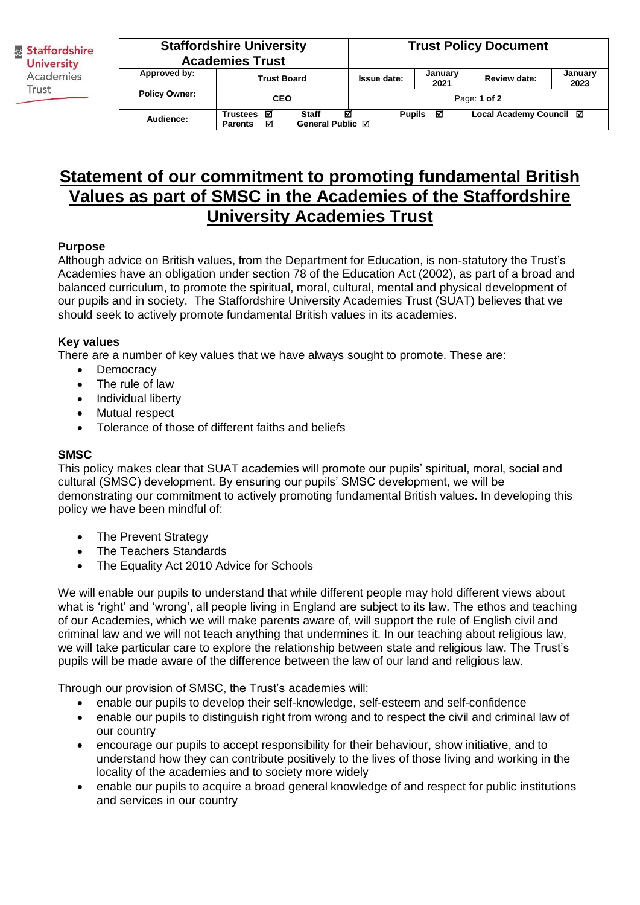Staffordshire **University** Academies Trust

| <b>Staffordshire University</b><br><b>Academies Trust</b> |                                      |                                | <b>Trust Policy Document</b>                  |                 |                     |                 |  |
|-----------------------------------------------------------|--------------------------------------|--------------------------------|-----------------------------------------------|-----------------|---------------------|-----------------|--|
| Approved by:                                              | <b>Trust Board</b>                   |                                | <b>Issue date:</b>                            | January<br>2021 | <b>Review date:</b> | January<br>2023 |  |
| <b>Policy Owner:</b>                                      | <b>CEO</b>                           |                                | Page: 1 of 2                                  |                 |                     |                 |  |
| Audience:                                                 | ☑<br>Trustees<br>☑<br><b>Parents</b> | М<br>Staff<br>General Public ⊠ | Local Academy Council Ø<br>Pupils $\boxtimes$ |                 |                     |                 |  |

## **Statement of our commitment to promoting fundamental British Values as part of SMSC in the Academies of the Staffordshire University Academies Trust**

## **Purpose**

Although advice on British values, from the Department for Education, is non-statutory the Trust's Academies have an obligation under section 78 of the Education Act (2002), as part of a broad and balanced curriculum, to promote the spiritual, moral, cultural, mental and physical development of our pupils and in society. The Staffordshire University Academies Trust (SUAT) believes that we should seek to actively promote fundamental British values in its academies.

## **Key values**

There are a number of key values that we have always sought to promote. These are:

- Democracy
- The rule of law
- Individual liberty
- Mutual respect
- Tolerance of those of different faiths and beliefs

## **SMSC**

This policy makes clear that SUAT academies will promote our pupils' spiritual, moral, social and cultural (SMSC) development. By ensuring our pupils' SMSC development, we will be demonstrating our commitment to actively promoting fundamental British values. In developing this policy we have been mindful of:

- The Prevent Strategy
- The Teachers Standards
- The Equality Act 2010 Advice for Schools

We will enable our pupils to understand that while different people may hold different views about what is 'right' and 'wrong', all people living in England are subject to its law. The ethos and teaching of our Academies, which we will make parents aware of, will support the rule of English civil and criminal law and we will not teach anything that undermines it. In our teaching about religious law, we will take particular care to explore the relationship between state and religious law. The Trust's pupils will be made aware of the difference between the law of our land and religious law.

Through our provision of SMSC, the Trust's academies will:

- enable our pupils to develop their self-knowledge, self-esteem and self-confidence
- enable our pupils to distinguish right from wrong and to respect the civil and criminal law of our country
- encourage our pupils to accept responsibility for their behaviour, show initiative, and to understand how they can contribute positively to the lives of those living and working in the locality of the academies and to society more widely
- enable our pupils to acquire a broad general knowledge of and respect for public institutions and services in our country